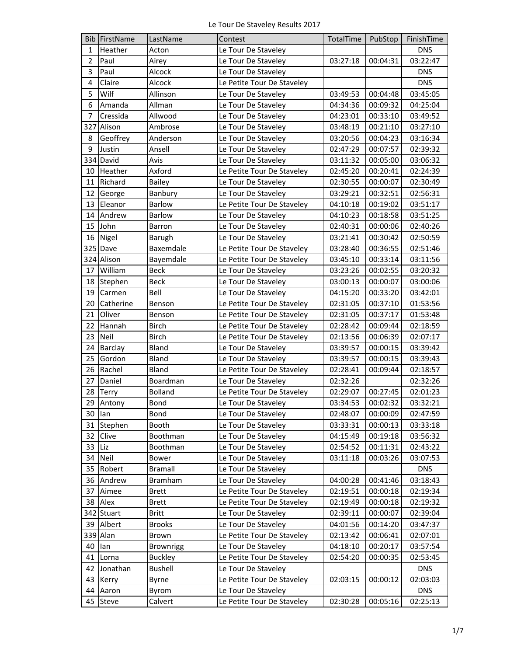|                | <b>Bib FirstName</b> | LastName         | Contest                    | TotalTime | PubStop           | FinishTime |
|----------------|----------------------|------------------|----------------------------|-----------|-------------------|------------|
| $\mathbf{1}$   | Heather              | Acton            | Le Tour De Staveley        |           |                   | <b>DNS</b> |
| $\overline{2}$ | Paul                 | Airey            | Le Tour De Staveley        | 03:27:18  | 00:04:31          | 03:22:47   |
| 3              | Paul                 | Alcock           | Le Tour De Staveley        |           |                   | <b>DNS</b> |
| $\overline{4}$ | Claire               | Alcock           | Le Petite Tour De Staveley |           |                   | <b>DNS</b> |
| 5              | Wilf                 | Allinson         | Le Tour De Staveley        | 03:49:53  | 00:04:48          | 03:45:05   |
| 6              | Amanda               | Allman           | Le Tour De Staveley        | 04:34:36  | 00:09:32          | 04:25:04   |
| 7              | Cressida             | Allwood          | Le Tour De Staveley        | 04:23:01  | 00:33:10          | 03:49:52   |
|                | 327 Alison           | Ambrose          | Le Tour De Staveley        | 03:48:19  | 00:21:10          | 03:27:10   |
| 8              | Geoffrey             | Anderson         | Le Tour De Staveley        | 03:20:56  | 00:04:23          | 03:16:34   |
| 9              | Justin               | Ansell           | Le Tour De Staveley        | 02:47:29  | 00:07:57          | 02:39:32   |
| 334            | David                | Avis             | Le Tour De Staveley        | 03:11:32  | 00:05:00          | 03:06:32   |
| 10             | Heather              | Axford           | Le Petite Tour De Staveley | 02:45:20  | 00:20:41          | 02:24:39   |
| 11             | Richard              | <b>Bailey</b>    | Le Tour De Staveley        | 02:30:55  | 00:00:07          | 02:30:49   |
| 12             | George               | Banbury          | Le Tour De Staveley        | 03:29:21  | 00:32:51          | 02:56:31   |
| 13             | Eleanor              | <b>Barlow</b>    | Le Petite Tour De Staveley | 04:10:18  | 00:19:02          | 03:51:17   |
| 14             | Andrew               | <b>Barlow</b>    | Le Tour De Staveley        | 04:10:23  | 00:18:58          | 03:51:25   |
| 15             | John                 | <b>Barron</b>    | Le Tour De Staveley        | 02:40:31  | 00:00:06          | 02:40:26   |
| 16             | Nigel                | Barugh           | Le Tour De Staveley        | 03:21:41  | 00:30:42          | 02:50:59   |
| 325            | Dave                 | Baxemdale        | Le Petite Tour De Staveley | 03:28:40  | 00:36:55          | 02:51:46   |
|                | 324 Alison           | Bayemdale        | Le Petite Tour De Staveley | 03:45:10  | 00:33:14          | 03:11:56   |
| 17             | William              | Beck             | Le Tour De Staveley        | 03:23:26  | 00:02:55          | 03:20:32   |
| 18             | Stephen              | <b>Beck</b>      | Le Tour De Staveley        | 03:00:13  | 00:00:07          | 03:00:06   |
| 19             | Carmen               | Bell             | Le Tour De Staveley        | 04:15:20  | 00:33:20          | 03:42:01   |
| 20             | Catherine            | Benson           | Le Petite Tour De Staveley | 02:31:05  | 00:37:10          | 01:53:56   |
| 21             | Oliver               | Benson           | Le Petite Tour De Staveley | 02:31:05  | 00:37:17          | 01:53:48   |
| 22             | Hannah               | <b>Birch</b>     | Le Petite Tour De Staveley | 02:28:42  | 00:09:44          | 02:18:59   |
| 23             | Neil                 | <b>Birch</b>     | Le Petite Tour De Staveley | 02:13:56  | 00:06:39          | 02:07:17   |
| 24             | Barclay              | Bland            | Le Tour De Staveley        | 03:39:57  | 00:00:15          | 03:39:42   |
| 25             | Gordon               | Bland            | Le Tour De Staveley        | 03:39:57  | 00:00:15          | 03:39:43   |
| 26             | Rachel               | Bland            | Le Petite Tour De Staveley | 02:28:41  | 00:09:44          | 02:18:57   |
| 27             | Daniel               | Boardman         | Le Tour De Staveley        | 02:32:26  |                   | 02:32:26   |
|                | 28 Terry             | <b>Bolland</b>   | Le Petite Tour De Staveley | 02:29:07  | 00:27:45          | 02:01:23   |
|                | 29 Antony            | Bond             | Le Tour De Staveley        |           | 03:34:53 00:02:32 | 03:32:21   |
| 30             | lan                  | Bond             | Le Tour De Staveley        | 02:48:07  | 00:00:09          | 02:47:59   |
| 31             | Stephen              | Booth            | Le Tour De Staveley        | 03:33:31  | 00:00:13          | 03:33:18   |
| 32             | Clive                | Boothman         | Le Tour De Staveley        | 04:15:49  | 00:19:18          | 03:56:32   |
| 33             | Liz                  | Boothman         | Le Tour De Staveley        | 02:54:52  | 00:11:31          | 02:43:22   |
| 34             | Neil                 | Bower            | Le Tour De Staveley        | 03:11:18  | 00:03:26          | 03:07:53   |
| 35             | Robert               | <b>Bramall</b>   | Le Tour De Staveley        |           |                   | <b>DNS</b> |
| 36             | Andrew               | <b>Bramham</b>   | Le Tour De Staveley        | 04:00:28  | 00:41:46          | 03:18:43   |
| 37             | Aimee                | <b>Brett</b>     | Le Petite Tour De Staveley | 02:19:51  | 00:00:18          | 02:19:34   |
| 38             | Alex                 | <b>Brett</b>     | Le Petite Tour De Staveley | 02:19:49  | 00:00:18          | 02:19:32   |
|                | 342 Stuart           | Britt            | Le Tour De Staveley        | 02:39:11  | 00:00:07          | 02:39:04   |
| 39             | Albert               | <b>Brooks</b>    | Le Tour De Staveley        | 04:01:56  | 00:14:20          | 03:47:37   |
|                | 339 Alan             | <b>Brown</b>     | Le Petite Tour De Staveley | 02:13:42  | 00:06:41          | 02:07:01   |
| 40             | lan                  | <b>Brownrigg</b> | Le Tour De Staveley        | 04:18:10  | 00:20:17          | 03:57:54   |
| 41             | Lorna                | <b>Buckley</b>   | Le Petite Tour De Staveley | 02:54:20  | 00:00:35          | 02:53:45   |
| 42             | Jonathan             | <b>Bushell</b>   | Le Tour De Staveley        |           |                   | <b>DNS</b> |
| 43             | Kerry                | Byrne            | Le Petite Tour De Staveley | 02:03:15  | 00:00:12          | 02:03:03   |
| 44             | Aaron                | Byrom            | Le Tour De Staveley        |           |                   | <b>DNS</b> |
| 45             | Steve                | Calvert          | Le Petite Tour De Staveley | 02:30:28  | 00:05:16          | 02:25:13   |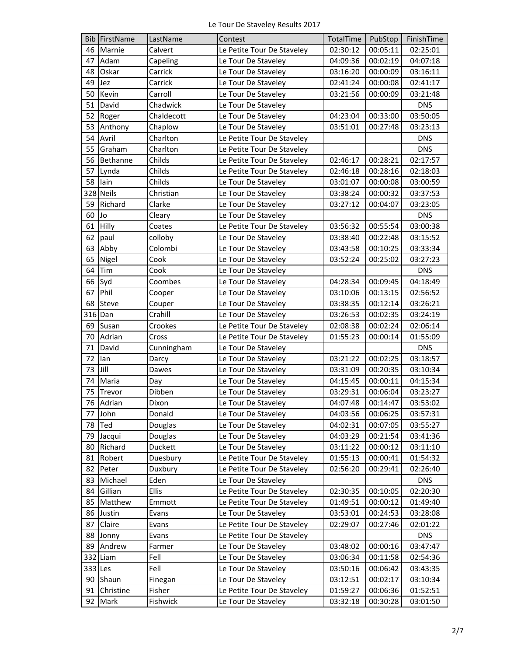|         | <b>Bib FirstName</b> | LastName     | Contest                    | TotalTime | PubStop  | FinishTime |
|---------|----------------------|--------------|----------------------------|-----------|----------|------------|
| 46      | Marnie               | Calvert      | Le Petite Tour De Staveley | 02:30:12  | 00:05:11 | 02:25:01   |
| 47      | Adam                 | Capeling     | Le Tour De Staveley        | 04:09:36  | 00:02:19 | 04:07:18   |
| 48      | Oskar                | Carrick      | Le Tour De Staveley        | 03:16:20  | 00:00:09 | 03:16:11   |
| 49      | Jez                  | Carrick      | Le Tour De Staveley        | 02:41:24  | 00:00:08 | 02:41:17   |
| 50      | Kevin                | Carroll      | Le Tour De Staveley        | 03:21:56  | 00:00:09 | 03:21:48   |
| 51      | David                | Chadwick     | Le Tour De Staveley        |           |          | <b>DNS</b> |
| 52      | Roger                | Chaldecott   | Le Tour De Staveley        | 04:23:04  | 00:33:00 | 03:50:05   |
| 53      | Anthony              | Chaplow      | Le Tour De Staveley        | 03:51:01  | 00:27:48 | 03:23:13   |
| 54      | Avril                | Charlton     | Le Petite Tour De Staveley |           |          | <b>DNS</b> |
| 55      | Graham               | Charlton     | Le Petite Tour De Staveley |           |          | <b>DNS</b> |
| 56      | Bethanne             | Childs       | Le Petite Tour De Staveley | 02:46:17  | 00:28:21 | 02:17:57   |
| 57      | Lynda                | Childs       | Le Petite Tour De Staveley | 02:46:18  | 00:28:16 | 02:18:03   |
| 58      | lain                 | Childs       | Le Tour De Staveley        | 03:01:07  | 00:00:08 | 03:00:59   |
|         | 328 Neils            | Christian    | Le Tour De Staveley        | 03:38:24  | 00:00:32 | 03:37:53   |
| 59      | Richard              | Clarke       | Le Tour De Staveley        | 03:27:12  | 00:04:07 | 03:23:05   |
| 60      | Jo                   | Cleary       | Le Tour De Staveley        |           |          | <b>DNS</b> |
| 61      | Hilly                | Coates       | Le Petite Tour De Staveley | 03:56:32  | 00:55:54 | 03:00:38   |
| 62      | paul                 | colloby      | Le Tour De Staveley        | 03:38:40  | 00:22:48 | 03:15:52   |
| 63      | Abby                 | Colombi      | Le Tour De Staveley        | 03:43:58  | 00:10:25 | 03:33:34   |
| 65      | Nigel                | Cook         | Le Tour De Staveley        | 03:52:24  | 00:25:02 | 03:27:23   |
| 64      | Tim                  | Cook         | Le Tour De Staveley        |           |          | <b>DNS</b> |
| 66      | Syd                  | Coombes      | Le Tour De Staveley        | 04:28:34  | 00:09:45 | 04:18:49   |
| 67      | Phil                 | Cooper       | Le Tour De Staveley        | 03:10:06  | 00:13:15 | 02:56:52   |
| 68      | Steve                | Couper       | Le Tour De Staveley        | 03:38:35  | 00:12:14 | 03:26:21   |
|         | 316 Dan              | Crahill      | Le Tour De Staveley        | 03:26:53  | 00:02:35 | 03:24:19   |
| 69      | Susan                | Crookes      | Le Petite Tour De Staveley | 02:08:38  | 00:02:24 | 02:06:14   |
| 70      | Adrian               | Cross        | Le Petite Tour De Staveley | 01:55:23  | 00:00:14 | 01:55:09   |
| 71      | David                | Cunningham   | Le Tour De Staveley        |           |          | <b>DNS</b> |
| 72      | lan                  | Darcy        | Le Tour De Staveley        | 03:21:22  | 00:02:25 | 03:18:57   |
| 73      | Jill                 | Dawes        | Le Tour De Staveley        | 03:31:09  | 00:20:35 | 03:10:34   |
| 74      | Maria                | Day          | Le Tour De Staveley        | 04:15:45  | 00:00:11 | 04:15:34   |
|         | 75 Trevor            | Dibben       | Le Tour De Staveley        | 03:29:31  | 00:06:04 | 03:23:27   |
|         | 76 Adrian            | Dixon        | Le Tour De Staveley        | 04:07:48  | 00:14:47 | 03:53:02   |
| 77      | John                 | Donald       | Le Tour De Staveley        | 04:03:56  | 00:06:25 | 03:57:31   |
| 78      | Ted                  | Douglas      | Le Tour De Staveley        | 04:02:31  | 00:07:05 | 03:55:27   |
| 79      | Jacqui               | Douglas      | Le Tour De Staveley        | 04:03:29  | 00:21:54 | 03:41:36   |
| 80      | Richard              | Duckett      | Le Tour De Staveley        | 03:11:22  | 00:00:12 | 03:11:10   |
| 81      | Robert               | Duesbury     | Le Petite Tour De Staveley | 01:55:13  | 00:00:41 | 01:54:32   |
| 82      | Peter                | Duxbury      | Le Petite Tour De Staveley | 02:56:20  | 00:29:41 | 02:26:40   |
| 83      | Michael              | Eden         | Le Tour De Staveley        |           |          | <b>DNS</b> |
| 84      | Gillian              | <b>Ellis</b> | Le Petite Tour De Staveley | 02:30:35  | 00:10:05 | 02:20:30   |
| 85      | Matthew              | Emmott       | Le Petite Tour De Staveley | 01:49:51  | 00:00:12 | 01:49:40   |
| 86      | Justin               | Evans        | Le Tour De Staveley        | 03:53:01  | 00:24:53 | 03:28:08   |
| 87      | Claire               | Evans        | Le Petite Tour De Staveley | 02:29:07  | 00:27:46 | 02:01:22   |
| 88      | Jonny                | Evans        | Le Petite Tour De Staveley |           |          | <b>DNS</b> |
| 89      | Andrew               | Farmer       | Le Tour De Staveley        | 03:48:02  | 00:00:16 | 03:47:47   |
|         | 332 Liam             | Fell         | Le Tour De Staveley        | 03:06:34  | 00:11:58 | 02:54:36   |
| 333 Les |                      | Fell         | Le Tour De Staveley        | 03:50:16  | 00:06:42 | 03:43:35   |
| 90      | Shaun                | Finegan      | Le Tour De Staveley        | 03:12:51  | 00:02:17 | 03:10:34   |
|         | 91 Christine         | Fisher       | Le Petite Tour De Staveley | 01:59:27  | 00:06:36 | 01:52:51   |
| 92      | Mark                 | Fishwick     | Le Tour De Staveley        | 03:32:18  | 00:30:28 |            |
|         |                      |              |                            |           |          | 03:01:50   |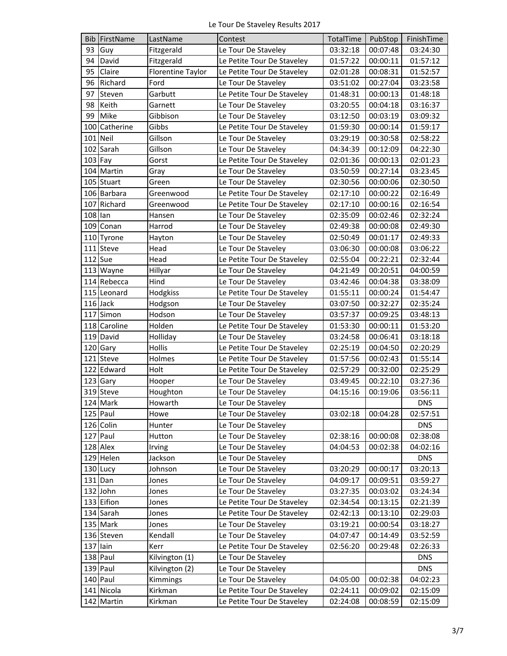|            | <b>Bib FirstName</b> | LastName          | Contest                    | TotalTime | PubStop  | FinishTime |
|------------|----------------------|-------------------|----------------------------|-----------|----------|------------|
| 93         | Guy                  | Fitzgerald        | Le Tour De Staveley        | 03:32:18  | 00:07:48 | 03:24:30   |
| 94         | David                | Fitzgerald        | Le Petite Tour De Staveley | 01:57:22  | 00:00:11 | 01:57:12   |
| 95         | Claire               | Florentine Taylor | Le Petite Tour De Staveley | 02:01:28  | 00:08:31 | 01:52:57   |
| 96         | Richard              | Ford              | Le Tour De Staveley        | 03:51:02  | 00:27:04 | 03:23:58   |
| 97         | Steven               | Garbutt           | Le Petite Tour De Staveley | 01:48:31  | 00:00:13 | 01:48:18   |
| 98         | Keith                | Garnett           | Le Tour De Staveley        | 03:20:55  | 00:04:18 | 03:16:37   |
| 99         | Mike                 | Gibbison          | Le Tour De Staveley        | 03:12:50  | 00:03:19 | 03:09:32   |
|            | 100 Catherine        | Gibbs             | Le Petite Tour De Staveley | 01:59:30  | 00:00:14 | 01:59:17   |
|            | $101$ Neil           | Gillson           | Le Tour De Staveley        | 03:29:19  | 00:30:58 | 02:58:22   |
|            | 102 Sarah            | Gillson           | Le Tour De Staveley        | 04:34:39  | 00:12:09 | 04:22:30   |
| $103$ Fay  |                      | Gorst             | Le Petite Tour De Staveley | 02:01:36  | 00:00:13 | 02:01:23   |
|            | 104 Martin           | Gray              | Le Tour De Staveley        | 03:50:59  | 00:27:14 | 03:23:45   |
|            | 105 Stuart           | Green             | Le Tour De Staveley        | 02:30:56  | 00:00:06 | 02:30:50   |
|            | 106 Barbara          | Greenwood         | Le Petite Tour De Staveley | 02:17:10  | 00:00:22 | 02:16:49   |
|            | 107 Richard          | Greenwood         | Le Petite Tour De Staveley | 02:17:10  | 00:00:16 | 02:16:54   |
| 108 lan    |                      | Hansen            | Le Tour De Staveley        | 02:35:09  | 00:02:46 | 02:32:24   |
|            | 109 Conan            | Harrod            | Le Tour De Staveley        | 02:49:38  | 00:00:08 | 02:49:30   |
|            | 110 Tyrone           | Hayton            | Le Tour De Staveley        | 02:50:49  | 00:01:17 | 02:49:33   |
|            | 111 Steve            | Head              | Le Tour De Staveley        | 03:06:30  | 00:00:08 | 03:06:22   |
|            | 112 Sue              | Head              | Le Petite Tour De Staveley | 02:55:04  | 00:22:21 | 02:32:44   |
|            | 113 Wayne            | Hillyar           | Le Tour De Staveley        | 04:21:49  | 00:20:51 | 04:00:59   |
|            | 114 Rebecca          | Hind              | Le Tour De Staveley        | 03:42:46  | 00:04:38 | 03:38:09   |
|            | 115 Leonard          | Hodgkiss          | Le Petite Tour De Staveley | 01:55:11  | 00:00:24 | 01:54:47   |
|            | 116 Jack             | Hodgson           | Le Tour De Staveley        | 03:07:50  | 00:32:27 | 02:35:24   |
|            | 117 Simon            | Hodson            | Le Tour De Staveley        | 03:57:37  | 00:09:25 | 03:48:13   |
|            | 118 Caroline         | Holden            | Le Petite Tour De Staveley | 01:53:30  | 00:00:11 | 01:53:20   |
|            | 119 David            | Holliday          | Le Tour De Staveley        | 03:24:58  | 00:06:41 | 03:18:18   |
|            | 120 Gary             | Hollis            | Le Petite Tour De Staveley | 02:25:19  | 00:04:50 | 02:20:29   |
|            | 121 Steve            | Holmes            | Le Petite Tour De Staveley | 01:57:56  | 00:02:43 | 01:55:14   |
|            | 122 Edward           | Holt              | Le Petite Tour De Staveley | 02:57:29  | 00:32:00 | 02:25:29   |
|            | 123 Gary             | Hooper            | Le Tour De Staveley        | 03:49:45  | 00:22:10 | 03:27:36   |
|            | 319 Steve            | Houghton          | Le Tour De Staveley        | 04:15:16  | 00:19:06 | 03:56:11   |
|            | 124 Mark             | Howarth           | Le Tour De Staveley        |           |          | <b>DNS</b> |
|            | 125 Paul             | Howe              | Le Tour De Staveley        | 03:02:18  | 00:04:28 | 02:57:51   |
|            | 126 Colin            | Hunter            | Le Tour De Staveley        |           |          | <b>DNS</b> |
|            | 127 Paul             | Hutton            | Le Tour De Staveley        | 02:38:16  | 00:00:08 | 02:38:08   |
|            | 128 Alex             | Irving            | Le Tour De Staveley        | 04:04:53  | 00:02:38 | 04:02:16   |
|            | 129 Helen            | Jackson           | Le Tour De Staveley        |           |          | <b>DNS</b> |
|            | 130 Lucy             | Johnson           | Le Tour De Staveley        | 03:20:29  | 00:00:17 | 03:20:13   |
|            | $131$ Dan            | Jones             | Le Tour De Staveley        | 04:09:17  | 00:09:51 | 03:59:27   |
|            | 132 John             | Jones             | Le Tour De Staveley        | 03:27:35  | 00:03:02 | 03:24:34   |
|            | 133 Eifion           | Jones             | Le Petite Tour De Staveley | 02:34:54  | 00:13:15 | 02:21:39   |
|            | 134 Sarah            | Jones             | Le Petite Tour De Staveley | 02:42:13  | 00:13:10 | 02:29:03   |
|            | 135 Mark             | Jones             | Le Tour De Staveley        | 03:19:21  | 00:00:54 | 03:18:27   |
|            | 136 Steven           | Kendall           | Le Tour De Staveley        | 04:07:47  | 00:14:49 | 03:52:59   |
| $137$ lain |                      | Kerr              | Le Petite Tour De Staveley | 02:56:20  | 00:29:48 | 02:26:33   |
|            | 138 Paul             | Kilvington (1)    | Le Tour De Staveley        |           |          | <b>DNS</b> |
|            | 139 Paul             | Kilvington (2)    | Le Tour De Staveley        |           |          | <b>DNS</b> |
|            | 140 Paul             | Kimmings          | Le Tour De Staveley        | 04:05:00  | 00:02:38 | 04:02:23   |
|            | 141 Nicola           | Kirkman           | Le Petite Tour De Staveley | 02:24:11  | 00:09:02 | 02:15:09   |
|            | 142 Martin           | Kirkman           | Le Petite Tour De Staveley | 02:24:08  | 00:08:59 | 02:15:09   |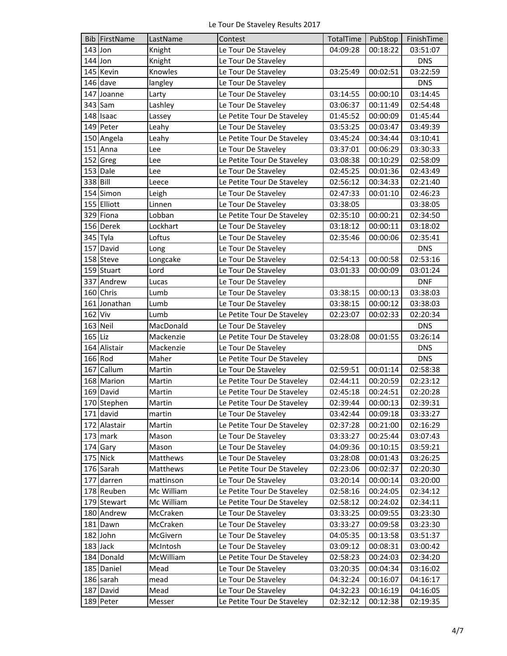|          | Bib FirstName | LastName   | Contest                    | TotalTime | PubStop  | FinishTime |
|----------|---------------|------------|----------------------------|-----------|----------|------------|
|          | $143$ Jon     | Knight     | Le Tour De Staveley        | 04:09:28  | 00:18:22 | 03:51:07   |
|          | 144 Jon       | Knight     | Le Tour De Staveley        |           |          | <b>DNS</b> |
|          | 145 Kevin     | Knowles    | Le Tour De Staveley        | 03:25:49  | 00:02:51 | 03:22:59   |
|          | 146 dave      | langley    | Le Tour De Staveley        |           |          | <b>DNS</b> |
|          | 147 Joanne    | Larty      | Le Tour De Staveley        | 03:14:55  | 00:00:10 | 03:14:45   |
|          | 343 Sam       | Lashley    | Le Tour De Staveley        | 03:06:37  | 00:11:49 | 02:54:48   |
|          | 148 Isaac     | Lassey     | Le Petite Tour De Staveley | 01:45:52  | 00:00:09 | 01:45:44   |
|          | 149 Peter     | Leahy      | Le Tour De Staveley        | 03:53:25  | 00:03:47 | 03:49:39   |
|          | 150 Angela    | Leahy      | Le Petite Tour De Staveley | 03:45:24  | 00:34:44 | 03:10:41   |
|          | 151 Anna      | Lee        | Le Tour De Staveley        | 03:37:01  | 00:06:29 | 03:30:33   |
|          | 152 Greg      | Lee        | Le Petite Tour De Staveley | 03:08:38  | 00:10:29 | 02:58:09   |
|          | 153 Dale      | Lee        | Le Tour De Staveley        | 02:45:25  | 00:01:36 | 02:43:49   |
| 338 Bill |               | Leece      | Le Petite Tour De Staveley | 02:56:12  | 00:34:33 | 02:21:40   |
|          | 154 Simon     | Leigh      | Le Tour De Staveley        | 02:47:33  | 00:01:10 | 02:46:23   |
|          | 155 Elliott   | Linnen     | Le Tour De Staveley        | 03:38:05  |          | 03:38:05   |
|          | 329 Fiona     | Lobban     | Le Petite Tour De Staveley | 02:35:10  | 00:00:21 | 02:34:50   |
|          | 156 Derek     | Lockhart   | Le Tour De Staveley        | 03:18:12  | 00:00:11 | 03:18:02   |
|          | 345 Tyla      | Loftus     | Le Tour De Staveley        | 02:35:46  | 00:00:06 | 02:35:41   |
|          | 157 David     | Long       | Le Tour De Staveley        |           |          | <b>DNS</b> |
|          | 158 Steve     | Longcake   | Le Tour De Staveley        | 02:54:13  | 00:00:58 | 02:53:16   |
|          | 159 Stuart    | Lord       | Le Tour De Staveley        | 03:01:33  | 00:00:09 | 03:01:24   |
|          | 337 Andrew    | Lucas      | Le Tour De Staveley        |           |          | <b>DNF</b> |
|          | 160 Chris     | Lumb       | Le Tour De Staveley        | 03:38:15  | 00:00:13 | 03:38:03   |
|          | 161 Jonathan  | Lumb       | Le Tour De Staveley        | 03:38:15  | 00:00:12 | 03:38:03   |
| 162 Viv  |               | Lumb       | Le Petite Tour De Staveley | 02:23:07  | 00:02:33 | 02:20:34   |
|          | 163 Neil      | MacDonald  | Le Tour De Staveley        |           |          | <b>DNS</b> |
| 165 Liz  |               | Mackenzie  | Le Petite Tour De Staveley | 03:28:08  | 00:01:55 | 03:26:14   |
|          | 164 Alistair  | Mackenzie  | Le Tour De Staveley        |           |          | <b>DNS</b> |
|          | 166 Rod       | Maher      | Le Petite Tour De Staveley |           |          | <b>DNS</b> |
|          | 167 Callum    | Martin     | Le Tour De Staveley        | 02:59:51  | 00:01:14 | 02:58:38   |
|          | 168 Marion    | Martin     | Le Petite Tour De Staveley | 02:44:11  | 00:20:59 | 02:23:12   |
|          | 169 David     | Martin     | Le Petite Tour De Staveley | 02:45:18  | 00:24:51 | 02:20:28   |
|          | 170 Stephen   | Martin     | Le Petite Tour De Staveley | 02:39:44  | 00:00:13 | 02:39:31   |
|          | 171 david     | martin     | Le Tour De Staveley        | 03:42:44  | 00:09:18 | 03:33:27   |
|          | 172 Alastair  | Martin     | Le Petite Tour De Staveley | 02:37:28  | 00:21:00 | 02:16:29   |
|          | 173 mark      | Mason      | Le Tour De Staveley        | 03:33:27  | 00:25:44 | 03:07:43   |
|          | 174 Gary      | Mason      | Le Tour De Staveley        | 04:09:36  | 00:10:15 | 03:59:21   |
|          | 175 Nick      | Matthews   | Le Tour De Staveley        | 03:28:08  | 00:01:43 | 03:26:25   |
|          | 176 Sarah     | Matthews   | Le Petite Tour De Staveley | 02:23:06  | 00:02:37 | 02:20:30   |
|          | 177 darren    | mattinson  | Le Tour De Staveley        | 03:20:14  | 00:00:14 | 03:20:00   |
|          | 178 Reuben    | Mc William | Le Petite Tour De Staveley | 02:58:16  | 00:24:05 | 02:34:12   |
|          | 179 Stewart   | Mc William | Le Petite Tour De Staveley |           |          |            |
|          | 180 Andrew    | McCraken   |                            | 02:58:12  | 00:24:02 | 02:34:11   |
|          |               |            | Le Tour De Staveley        | 03:33:25  | 00:09:55 | 03:23:30   |
|          | 181 Dawn      | McCraken   | Le Tour De Staveley        | 03:33:27  | 00:09:58 | 03:23:30   |
|          | 182 John      | McGivern   | Le Tour De Staveley        | 04:05:35  | 00:13:58 | 03:51:37   |
|          | 183 Jack      | McIntosh   | Le Tour De Staveley        | 03:09:12  | 00:08:31 | 03:00:42   |
|          | 184 Donald    | McWilliam  | Le Petite Tour De Staveley | 02:58:23  | 00:24:03 | 02:34:20   |
|          | 185 Daniel    | Mead       | Le Tour De Staveley        | 03:20:35  | 00:04:34 | 03:16:02   |
|          | 186 sarah     | mead       | Le Tour De Staveley        | 04:32:24  | 00:16:07 | 04:16:17   |
|          | 187 David     | Mead       | Le Tour De Staveley        | 04:32:23  | 00:16:19 | 04:16:05   |
|          | 189 Peter     | Messer     | Le Petite Tour De Staveley | 02:32:12  | 00:12:38 | 02:19:35   |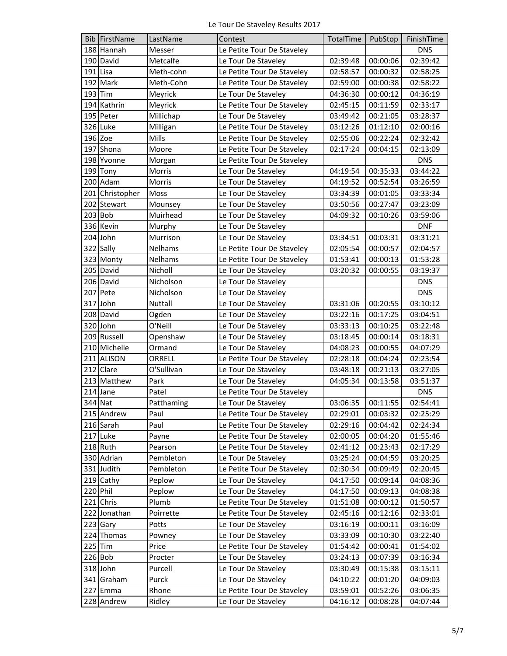|         | Bib FirstName   | LastName       | Contest                    | TotalTime | PubStop  | FinishTime |
|---------|-----------------|----------------|----------------------------|-----------|----------|------------|
|         | 188 Hannah      | Messer         | Le Petite Tour De Staveley |           |          | <b>DNS</b> |
|         | 190 David       | Metcalfe       | Le Tour De Staveley        | 02:39:48  | 00:00:06 | 02:39:42   |
|         | 191 Lisa        | Meth-cohn      | Le Petite Tour De Staveley | 02:58:57  | 00:00:32 | 02:58:25   |
|         | 192 Mark        | Meth-Cohn      | Le Petite Tour De Staveley | 02:59:00  | 00:00:38 | 02:58:22   |
| 193 Tim |                 | Meyrick        | Le Tour De Staveley        | 04:36:30  | 00:00:12 | 04:36:19   |
|         | 194 Kathrin     | Meyrick        | Le Petite Tour De Staveley | 02:45:15  | 00:11:59 | 02:33:17   |
|         | 195 Peter       | Millichap      | Le Tour De Staveley        | 03:49:42  | 00:21:05 | 03:28:37   |
|         | 326 Luke        | Milligan       | Le Petite Tour De Staveley | 03:12:26  | 01:12:10 | 02:00:16   |
|         | 196 Zoe         | Mills          | Le Petite Tour De Staveley | 02:55:06  | 00:22:24 | 02:32:42   |
|         | 197 Shona       | Moore          | Le Petite Tour De Staveley | 02:17:24  | 00:04:15 | 02:13:09   |
|         | 198 Yvonne      | Morgan         | Le Petite Tour De Staveley |           |          | <b>DNS</b> |
|         | 199 Tony        | Morris         | Le Tour De Staveley        | 04:19:54  | 00:35:33 | 03:44:22   |
|         | 200 Adam        | Morris         | Le Tour De Staveley        | 04:19:52  | 00:52:54 | 03:26:59   |
|         | 201 Christopher | Moss           | Le Tour De Staveley        | 03:34:39  | 00:01:05 | 03:33:34   |
|         | 202 Stewart     | Mounsey        | Le Tour De Staveley        | 03:50:56  | 00:27:47 | 03:23:09   |
|         | 203 Bob         | Muirhead       | Le Tour De Staveley        | 04:09:32  | 00:10:26 | 03:59:06   |
|         | 336 Kevin       | Murphy         | Le Tour De Staveley        |           |          | <b>DNF</b> |
|         | 204 John        | Murrison       | Le Tour De Staveley        | 03:34:51  | 00:03:31 | 03:31:21   |
|         | 322 Sally       | Nelhams        | Le Petite Tour De Staveley | 02:05:54  | 00:00:57 | 02:04:57   |
|         | 323 Monty       | <b>Nelhams</b> | Le Petite Tour De Staveley | 01:53:41  | 00:00:13 | 01:53:28   |
|         | 205 David       | Nicholl        | Le Tour De Staveley        | 03:20:32  | 00:00:55 | 03:19:37   |
|         | 206 David       | Nicholson      | Le Tour De Staveley        |           |          | <b>DNS</b> |
|         | 207 Pete        | Nicholson      | Le Tour De Staveley        |           |          | <b>DNS</b> |
|         | 317 John        | Nuttall        | Le Tour De Staveley        | 03:31:06  | 00:20:55 | 03:10:12   |
|         | 208 David       | Ogden          | Le Tour De Staveley        | 03:22:16  | 00:17:25 | 03:04:51   |
|         | 320 John        | O'Neill        | Le Tour De Staveley        | 03:33:13  | 00:10:25 | 03:22:48   |
|         | 209 Russell     | Openshaw       | Le Tour De Staveley        | 03:18:45  | 00:00:14 | 03:18:31   |
|         | 210 Michelle    | Ormand         | Le Tour De Staveley        | 04:08:23  | 00:00:55 | 04:07:29   |
|         | 211 ALISON      | ORRELL         | Le Petite Tour De Staveley | 02:28:18  | 00:04:24 | 02:23:54   |
|         | 212 Clare       | O'Sullivan     | Le Tour De Staveley        | 03:48:18  | 00:21:13 | 03:27:05   |
|         | 213 Matthew     | Park           | Le Tour De Staveley        | 04:05:34  | 00:13:58 | 03:51:37   |
|         | 214 Jane        | Patel          | Le Petite Tour De Staveley |           |          | <b>DNS</b> |
|         | 344 Nat         | Patthaming     | Le Tour De Staveley        | 03:06:35  | 00:11:55 | 02:54:41   |
|         | 215 Andrew      | Paul           | Le Petite Tour De Staveley | 02:29:01  | 00:03:32 | 02:25:29   |
|         | 216 Sarah       | Paul           | Le Petite Tour De Staveley | 02:29:16  | 00:04:42 | 02:24:34   |
|         | 217 Luke        | Payne          | Le Petite Tour De Staveley | 02:00:05  | 00:04:20 | 01:55:46   |
|         | 218 Ruth        | Pearson        | Le Petite Tour De Staveley | 02:41:12  | 00:23:43 | 02:17:29   |
|         | 330 Adrian      | Pembleton      | Le Tour De Staveley        | 03:25:24  | 00:04:59 | 03:20:25   |
|         | 331 Judith      | Pembleton      | Le Petite Tour De Staveley | 02:30:34  | 00:09:49 | 02:20:45   |
|         | 219 Cathy       | Peplow         | Le Tour De Staveley        | 04:17:50  | 00:09:14 | 04:08:36   |
|         | 220 Phil        | Peplow         | Le Tour De Staveley        | 04:17:50  | 00:09:13 | 04:08:38   |
|         | 221 Chris       | Plumb          | Le Petite Tour De Staveley | 01:51:08  | 00:00:12 | 01:50:57   |
|         | 222 Jonathan    | Poirrette      | Le Petite Tour De Staveley | 02:45:16  | 00:12:16 | 02:33:01   |
|         | 223 Gary        | Potts          | Le Tour De Staveley        | 03:16:19  | 00:00:11 | 03:16:09   |
|         | 224 Thomas      | Powney         | Le Tour De Staveley        | 03:33:09  | 00:10:30 | 03:22:40   |
|         | 225 Tim         | Price          | Le Petite Tour De Staveley | 01:54:42  | 00:00:41 | 01:54:02   |
|         | $226$ Bob       | Procter        | Le Tour De Staveley        | 03:24:13  | 00:07:39 | 03:16:34   |
|         | 318 John        | Purcell        | Le Tour De Staveley        | 03:30:49  | 00:15:38 | 03:15:11   |
|         | 341 Graham      | Purck          | Le Tour De Staveley        | 04:10:22  | 00:01:20 | 04:09:03   |
|         | 227 Emma        | Rhone          | Le Petite Tour De Staveley | 03:59:01  | 00:52:26 | 03:06:35   |
|         | 228 Andrew      | Ridley         | Le Tour De Staveley        | 04:16:12  | 00:08:28 | 04:07:44   |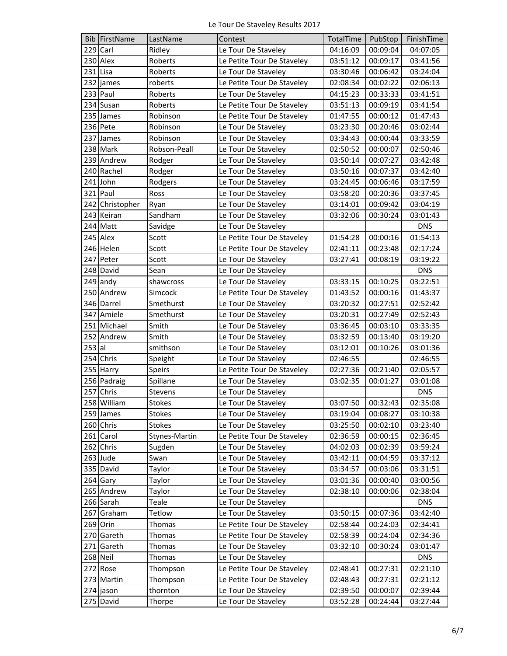|          | <b>Bib FirstName</b> | LastName      | Contest                    | TotalTime | PubStop  | FinishTime |
|----------|----------------------|---------------|----------------------------|-----------|----------|------------|
|          | 229 Carl             | Ridley        | Le Tour De Staveley        | 04:16:09  | 00:09:04 | 04:07:05   |
|          | 230 Alex             | Roberts       | Le Petite Tour De Staveley | 03:51:12  | 00:09:17 | 03:41:56   |
|          | 231 Lisa             | Roberts       | Le Tour De Staveley        | 03:30:46  | 00:06:42 | 03:24:04   |
|          | 232 james            | roberts       | Le Petite Tour De Staveley | 02:08:34  | 00:02:22 | 02:06:13   |
|          | 233 Paul             | Roberts       | Le Tour De Staveley        | 04:15:23  | 00:33:33 | 03:41:51   |
|          | 234 Susan            | Roberts       | Le Petite Tour De Staveley | 03:51:13  | 00:09:19 | 03:41:54   |
|          | 235 James            | Robinson      | Le Petite Tour De Staveley | 01:47:55  | 00:00:12 | 01:47:43   |
|          | 236 Pete             | Robinson      | Le Tour De Staveley        | 03:23:30  | 00:20:46 | 03:02:44   |
|          | 237 James            | Robinson      | Le Tour De Staveley        | 03:34:43  | 00:00:44 | 03:33:59   |
|          | 238 Mark             | Robson-Peall  | Le Tour De Staveley        | 02:50:52  | 00:00:07 | 02:50:46   |
|          | 239 Andrew           | Rodger        | Le Tour De Staveley        | 03:50:14  | 00:07:27 | 03:42:48   |
|          | 240 Rachel           | Rodger        | Le Tour De Staveley        | 03:50:16  | 00:07:37 | 03:42:40   |
|          | 241 John             | Rodgers       | Le Tour De Staveley        | 03:24:45  | 00:06:46 | 03:17:59   |
|          | $321$ Paul           | Ross          | Le Tour De Staveley        | 03:58:20  | 00:20:36 | 03:37:45   |
|          | 242 Christopher      | Ryan          | Le Tour De Staveley        | 03:14:01  | 00:09:42 | 03:04:19   |
|          | 243 Keiran           | Sandham       | Le Tour De Staveley        | 03:32:06  | 00:30:24 | 03:01:43   |
|          | 244 Matt             | Savidge       | Le Tour De Staveley        |           |          | <b>DNS</b> |
|          | 245 Alex             | Scott         | Le Petite Tour De Staveley | 01:54:28  | 00:00:16 | 01:54:13   |
|          | 246 Helen            | Scott         | Le Petite Tour De Staveley | 02:41:11  | 00:23:48 | 02:17:24   |
|          | 247 Peter            | Scott         | Le Tour De Staveley        | 03:27:41  | 00:08:19 | 03:19:22   |
|          | 248 David            | Sean          | Le Tour De Staveley        |           |          | <b>DNS</b> |
|          | 249 andy             | shawcross     | Le Tour De Staveley        | 03:33:15  | 00:10:25 | 03:22:51   |
|          | 250 Andrew           | Simcock       | Le Petite Tour De Staveley | 01:43:52  | 00:00:16 | 01:43:37   |
|          | 346 Darrel           | Smethurst     | Le Tour De Staveley        | 03:20:32  | 00:27:51 | 02:52:42   |
|          | 347 Amiele           | Smethurst     | Le Tour De Staveley        | 03:20:31  | 00:27:49 | 02:52:43   |
|          | 251 Michael          | Smith         | Le Tour De Staveley        | 03:36:45  | 00:03:10 | 03:33:35   |
|          | 252 Andrew           | Smith         | Le Tour De Staveley        | 03:32:59  | 00:13:40 | 03:19:20   |
| $253$ al |                      | smithson      | Le Tour De Staveley        | 03:12:01  | 00:10:26 | 03:01:36   |
|          | 254 Chris            | Speight       | Le Tour De Staveley        | 02:46:55  |          | 02:46:55   |
|          | 255 Harry            | <b>Speirs</b> | Le Petite Tour De Staveley | 02:27:36  | 00:21:40 | 02:05:57   |
|          | 256 Padraig          | Spillane      | Le Tour De Staveley        | 03:02:35  | 00:01:27 | 03:01:08   |
|          | 257 Chris            | Stevens       | Le Tour De Staveley        |           |          | <b>DNS</b> |
|          | 258 William          | <b>Stokes</b> | Le Tour De Staveley        | 03:07:50  | 00:32:43 | 02:35:08   |
|          | 259 James            | Stokes        | Le Tour De Staveley        | 03:19:04  | 00:08:27 | 03:10:38   |
|          | 260 Chris            | <b>Stokes</b> | Le Tour De Staveley        | 03:25:50  | 00:02:10 | 03:23:40   |
|          | 261 Carol            | Stynes-Martin | Le Petite Tour De Staveley | 02:36:59  | 00:00:15 | 02:36:45   |
|          | 262 Chris            | Sugden        | Le Tour De Staveley        | 04:02:03  | 00:02:39 | 03:59:24   |
|          | 263 Jude             | Swan          | Le Tour De Staveley        | 03:42:11  | 00:04:59 | 03:37:12   |
|          | 335 David            | Taylor        | Le Tour De Staveley        | 03:34:57  | 00:03:06 | 03:31:51   |
|          | 264 Gary             | Taylor        | Le Tour De Staveley        | 03:01:36  | 00:00:40 | 03:00:56   |
|          | 265 Andrew           | Taylor        | Le Tour De Staveley        | 02:38:10  | 00:00:06 | 02:38:04   |
|          | 266 Sarah            | Teale         | Le Tour De Staveley        |           |          | <b>DNS</b> |
|          | 267 Graham           | Tetlow        | Le Tour De Staveley        | 03:50:15  | 00:07:36 | 03:42:40   |
|          | 269 Orin             | Thomas        | Le Petite Tour De Staveley | 02:58:44  | 00:24:03 | 02:34:41   |
|          | 270 Gareth           | Thomas        | Le Petite Tour De Staveley | 02:58:39  | 00:24:04 | 02:34:36   |
|          | 271 Gareth           | Thomas        | Le Tour De Staveley        | 03:32:10  | 00:30:24 | 03:01:47   |
|          | 268 Neil             | Thomas        | Le Tour De Staveley        |           |          | <b>DNS</b> |
|          | 272 Rose             | Thompson      | Le Petite Tour De Staveley | 02:48:41  | 00:27:31 | 02:21:10   |
|          | 273 Martin           | Thompson      | Le Petite Tour De Staveley | 02:48:43  | 00:27:31 | 02:21:12   |
|          | 274 jason            | thornton      | Le Tour De Staveley        | 02:39:50  | 00:00:07 | 02:39:44   |
|          | 275 David            | Thorpe        | Le Tour De Staveley        | 03:52:28  | 00:24:44 | 03:27:44   |